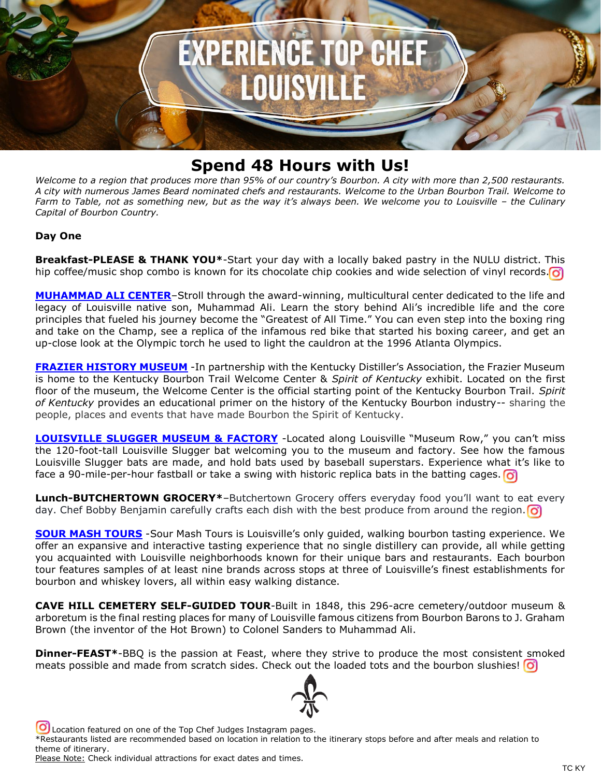

## **Spend 48 Hours with Us!**

*Welcome to a region that produces more than 95% of our country's Bourbon. A city with more than 2,500 restaurants. A city with numerous James Beard nominated chefs and restaurants. Welcome to the Urban Bourbon Trail. Welcome to Farm to Table, not as something new, but as the way it's always been. We welcome you to Louisville – the Culinary Capital of Bourbon Country.*

## **Day One**

**Breakfast-PLEASE & THANK YOU\***-Start your day with a locally baked pastry in the NULU district. This hip coffee/music shop combo is known for its chocolate chip cookies and wide selection of vinyl records.  $\odot$ 

**[MUHAMMAD ALI CENTER](https://reservations.gotolouisville.com/attraction/single/6849/1630)**–Stroll through the award-winning, multicultural center dedicated to the life and legacy of Louisville native son, Muhammad Ali. Learn the story behind Ali's incredible life and the core principles that fueled his journey become the "Greatest of All Time." You can even step into the boxing ring and take on the Champ, see a replica of the infamous red bike that started his boxing career, and get an up-close look at the Olympic torch he used to light the cauldron at the 1996 Atlanta Olympics.

**[FRAZIER HISTORY MUSEUM](https://reservations.gotolouisville.com/attraction/single/6849/1625)** - In partnership with the Kentucky Distiller's Association, the Frazier Museum is home to the Kentucky Bourbon Trail Welcome Center & *Spirit of Kentucky* exhibit. Located on the first floor of the museum, the Welcome Center is the official starting point of the Kentucky Bourbon Trail. *Spirit of Kentucky* provides an educational primer on the history of the Kentucky Bourbon industry-- sharing the people, places and events that have made Bourbon the Spirit of Kentucky.

**LOUISVILLE [SLUGGER MUSEUM & FACTORY](https://reservations.gotolouisville.com/attraction/single/6849/1613)** -Located along Louisville "Museum Row," you can't miss the 120-foot-tall Louisville Slugger bat welcoming you to the museum and factory. See how the famous Louisville Slugger bats are made, and hold bats used by baseball superstars. Experience what it's like to face a 90-mile-per-hour fastball or take a swing with historic replica bats in the batting cages. **o** 

**Lunch-BUTCHERTOWN GROCERY\****–*Butchertown Grocery offers everyday food you'll want to eat every day. Chef Bobby Benjamin carefully crafts each dish with the best produce from around the region.  $\bigcirc$ 

**[SOUR MASH TOURS](https://reservations.gotolouisville.com/attraction/single/6849/1865)** -Sour Mash Tours is Louisville's only guided, walking bourbon tasting experience. We offer an expansive and interactive tasting experience that no single distillery can provide, all while getting you acquainted with Louisville neighborhoods known for their unique bars and restaurants. Each bourbon tour features samples of at least nine brands across stops at three of Louisville's finest establishments for bourbon and whiskey lovers, all within easy walking distance.

**CAVE HILL CEMETERY SELF-GUIDED TOUR**-Built in 1848, this 296-acre cemetery/outdoor museum & arboretum is the final resting places for many of Louisville famous citizens from Bourbon Barons to J. Graham Brown (the inventor of the Hot Brown) to Colonel Sanders to Muhammad Ali.

**Dinner-FEAST\***-BBQ is the passion at Feast, where they strive to produce the most consistent smoked meats possible and made from scratch sides. Check out the loaded tots and the bourbon slushies!  $\boxed{\text{O}}$ 



Location featured on one of the Top Chef Judges Instagram pages.

<sup>\*</sup>Restaurants listed are recommended based on location in relation to the itinerary stops before and after meals and relation to theme of itinerary.